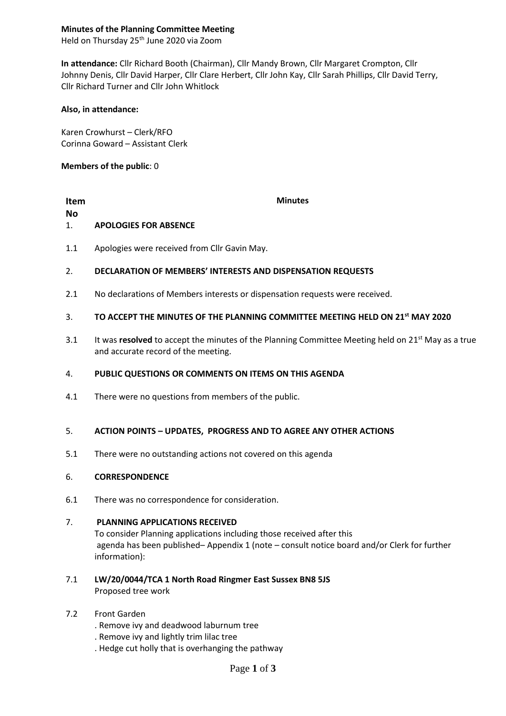## **Minutes of the Planning Committee Meeting**

Held on Thursday 25<sup>th</sup> June 2020 via Zoom

**In attendance:** Cllr Richard Booth (Chairman), Cllr Mandy Brown, Cllr Margaret Crompton, Cllr Johnny Denis, Cllr David Harper, Cllr Clare Herbert, Cllr John Kay, Cllr Sarah Phillips, Cllr David Terry, Cllr Richard Turner and Cllr John Whitlock

### **Also, in attendance:**

Karen Crowhurst – Clerk/RFO Corinna Goward – Assistant Clerk

## **Members of the public**: 0

### **Item No Minutes** 1. **APOLOGIES FOR ABSENCE**

1.1 Apologies were received from Cllr Gavin May.

#### 2. **DECLARATION OF MEMBERS' INTERESTS AND DISPENSATION REQUESTS**

2.1 No declarations of Members interests or dispensation requests were received.

#### 3. **TO ACCEPT THE MINUTES OF THE PLANNING COMMITTEE MEETING HELD ON 21st MAY 2020**

3.1 It was resolved to accept the minutes of the Planning Committee Meeting held on 21<sup>st</sup> May as a true and accurate record of the meeting.

#### 4. **PUBLIC QUESTIONS OR COMMENTS ON ITEMS ON THIS AGENDA**

4.1 There were no questions from members of the public.

#### 5. **ACTION POINTS – UPDATES, PROGRESS AND TO AGREE ANY OTHER ACTIONS**

5.1 There were no outstanding actions not covered on this agenda

#### 6. **CORRESPONDENCE**

6.1 There was no correspondence for consideration.

#### 7. **PLANNING APPLICATIONS RECEIVED**

To consider Planning applications including those received after this agenda has been published– Appendix 1 (note – consult notice board and/or Clerk for further information):

- 7.1 **LW/20/0044/TCA 1 North Road Ringmer East Sussex BN8 5JS** Proposed tree work
- 7.2 Front Garden
	- . Remove ivy and deadwood laburnum tree
	- . Remove ivy and lightly trim lilac tree
	- . Hedge cut holly that is overhanging the pathway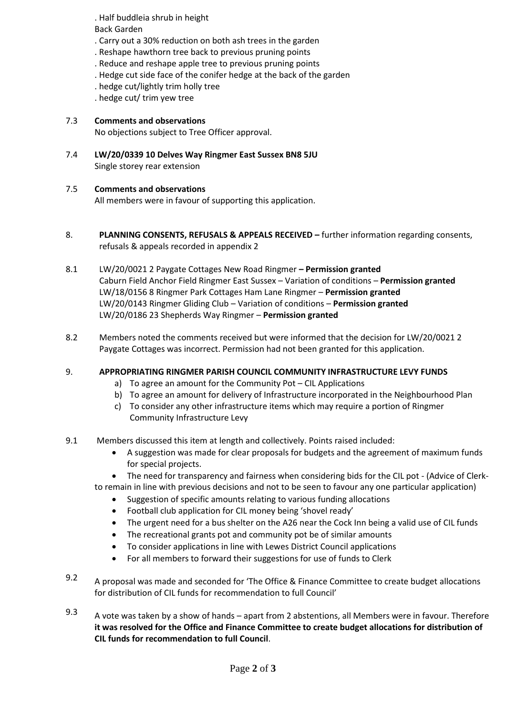. Half buddleia shrub in height Back Garden

- . Carry out a 30% reduction on both ash trees in the garden
- . Reshape hawthorn tree back to previous pruning points
- . Reduce and reshape apple tree to previous pruning points
- . Hedge cut side face of the conifer hedge at the back of the garden
- . hedge cut/lightly trim holly tree
- . hedge cut/ trim yew tree

#### 7.3 **Comments and observations**

No objections subject to Tree Officer approval.

7.4 **LW/20/0339 10 Delves Way Ringmer East Sussex BN8 5JU** Single storey rear extension

#### 7.5 **Comments and observations**

All members were in favour of supporting this application.

- 8. **PLANNING CONSENTS, REFUSALS & APPEALS RECEIVED –** further information regarding consents, refusals & appeals recorded in appendix 2
- 8.1 LW/20/0021 2 Paygate Cottages New Road Ringmer **– Permission granted** Caburn Field Anchor Field Ringmer East Sussex – Variation of conditions – **Permission granted** LW/18/0156 8 Ringmer Park Cottages Ham Lane Ringmer – **Permission granted** LW/20/0143 Ringmer Gliding Club – Variation of conditions – **Permission granted** LW/20/0186 23 Shepherds Way Ringmer – **Permission granted**
- 8.2 Members noted the comments received but were informed that the decision for LW/20/0021 2 Paygate Cottages was incorrect. Permission had not been granted for this application.

#### 9. **APPROPRIATING RINGMER PARISH COUNCIL COMMUNITY INFRASTRUCTURE LEVY FUNDS**

- a) To agree an amount for the Community Pot CIL Applications
- b) To agree an amount for delivery of Infrastructure incorporated in the Neighbourhood Plan
- c) To consider any other infrastructure items which may require a portion of Ringmer Community Infrastructure Levy
- 9.1 Members discussed this item at length and collectively. Points raised included:
	- A suggestion was made for clear proposals for budgets and the agreement of maximum funds for special projects.

• The need for transparency and fairness when considering bids for the CIL pot - (Advice of Clerkto remain in line with previous decisions and not to be seen to favour any one particular application)

- Suggestion of specific amounts relating to various funding allocations
- Football club application for CIL money being 'shovel ready'
- The urgent need for a bus shelter on the A26 near the Cock Inn being a valid use of CIL funds
- The recreational grants pot and community pot be of similar amounts
- To consider applications in line with Lewes District Council applications
- For all members to forward their suggestions for use of funds to Clerk
- 9.2 A proposal was made and seconded for 'The Office & Finance Committee to create budget allocations for distribution of CIL funds for recommendation to full Council'
- 9.3 A vote was taken by a show of hands – apart from 2 abstentions, all Members were in favour. Therefore **it was resolved for the Office and Finance Committee to create budget allocations for distribution of CIL funds for recommendation to full Council**.